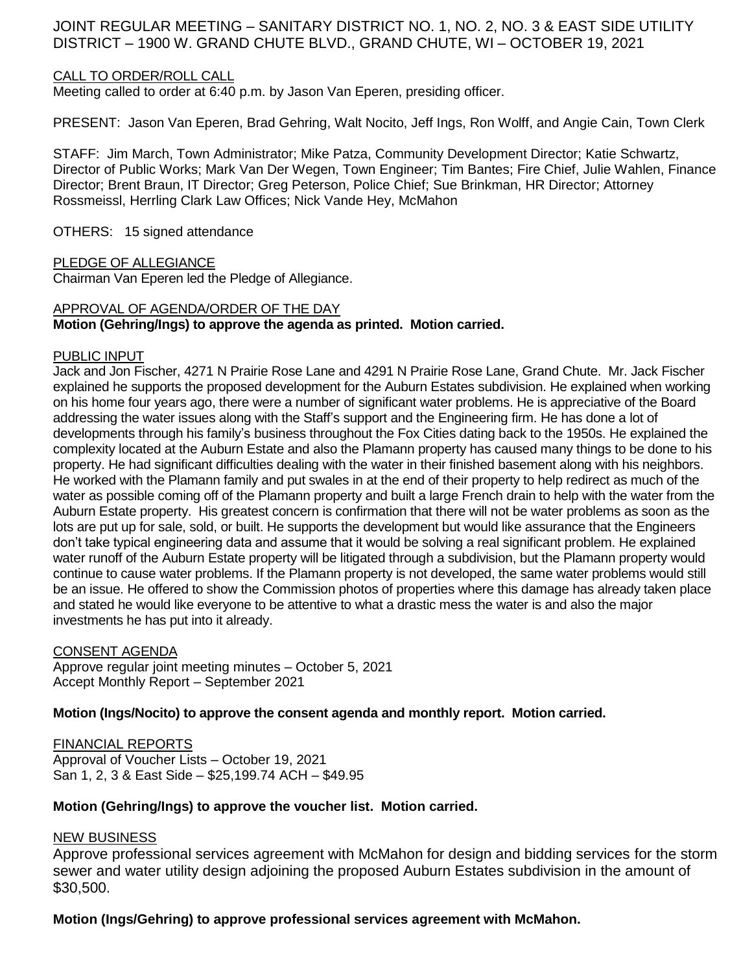# JOINT REGULAR MEETING – SANITARY DISTRICT NO. 1, NO. 2, NO. 3 & EAST SIDE UTILITY DISTRICT – 1900 W. GRAND CHUTE BLVD., GRAND CHUTE, WI – OCTOBER 19, 2021

## CALL TO ORDER/ROLL CALL

Meeting called to order at 6:40 p.m. by Jason Van Eperen, presiding officer.

PRESENT: Jason Van Eperen, Brad Gehring, Walt Nocito, Jeff Ings, Ron Wolff, and Angie Cain, Town Clerk

STAFF: Jim March, Town Administrator; Mike Patza, Community Development Director; Katie Schwartz, Director of Public Works; Mark Van Der Wegen, Town Engineer; Tim Bantes; Fire Chief, Julie Wahlen, Finance Director; Brent Braun, IT Director; Greg Peterson, Police Chief; Sue Brinkman, HR Director; Attorney Rossmeissl, Herrling Clark Law Offices; Nick Vande Hey, McMahon

OTHERS: 15 signed attendance

### PLEDGE OF ALLEGIANCE

Chairman Van Eperen led the Pledge of Allegiance.

### APPROVAL OF AGENDA/ORDER OF THE DAY

## **Motion (Gehring/Ings) to approve the agenda as printed. Motion carried.**

### PUBLIC INPUT

Jack and Jon Fischer, 4271 N Prairie Rose Lane and 4291 N Prairie Rose Lane, Grand Chute. Mr. Jack Fischer explained he supports the proposed development for the Auburn Estates subdivision. He explained when working on his home four years ago, there were a number of significant water problems. He is appreciative of the Board addressing the water issues along with the Staff's support and the Engineering firm. He has done a lot of developments through his family's business throughout the Fox Cities dating back to the 1950s. He explained the complexity located at the Auburn Estate and also the Plamann property has caused many things to be done to his property. He had significant difficulties dealing with the water in their finished basement along with his neighbors. He worked with the Plamann family and put swales in at the end of their property to help redirect as much of the water as possible coming off of the Plamann property and built a large French drain to help with the water from the Auburn Estate property. His greatest concern is confirmation that there will not be water problems as soon as the lots are put up for sale, sold, or built. He supports the development but would like assurance that the Engineers don't take typical engineering data and assume that it would be solving a real significant problem. He explained water runoff of the Auburn Estate property will be litigated through a subdivision, but the Plamann property would continue to cause water problems. If the Plamann property is not developed, the same water problems would still be an issue. He offered to show the Commission photos of properties where this damage has already taken place and stated he would like everyone to be attentive to what a drastic mess the water is and also the major investments he has put into it already.

#### CONSENT AGENDA

Approve regular joint meeting minutes – October 5, 2021 Accept Monthly Report – September 2021

**Motion (Ings/Nocito) to approve the consent agenda and monthly report. Motion carried.** 

FINANCIAL REPORTS Approval of Voucher Lists – October 19, 2021 San 1, 2, 3 & East Side – \$25,199.74 ACH – \$49.95

## **Motion (Gehring/Ings) to approve the voucher list. Motion carried.**

## NEW BUSINESS

Approve professional services agreement with McMahon for design and bidding services for the storm sewer and water utility design adjoining the proposed Auburn Estates subdivision in the amount of \$30,500.

## **Motion (Ings/Gehring) to approve professional services agreement with McMahon.**